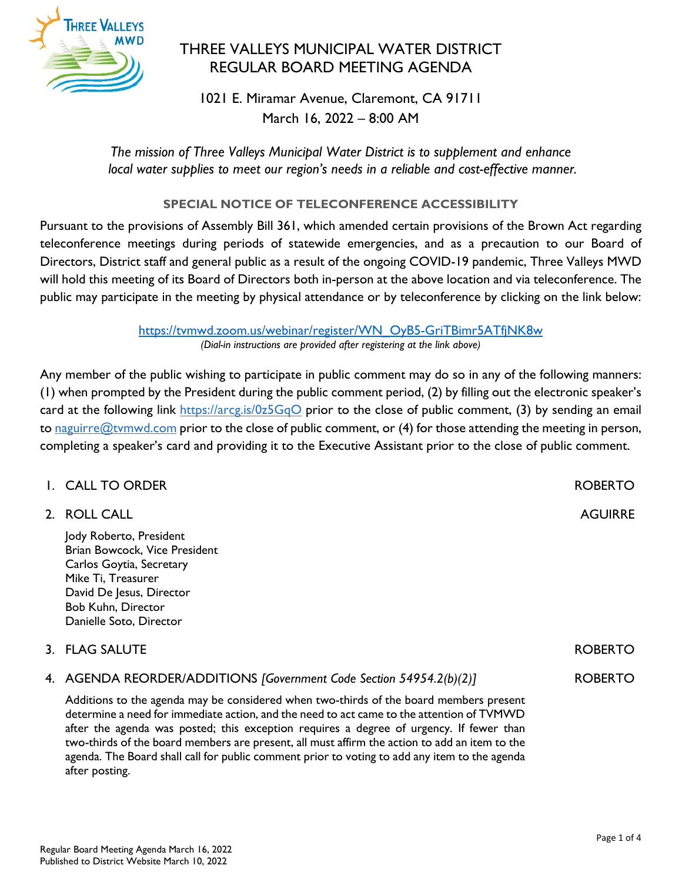

# THREE VALLEYS MUNICIPAL WATER DISTRICT REGULAR BOARD MEETING AGENDA

1021 E. Miramar Avenue, Claremont, CA 91711 March 16, 2022 – 8:00 AM

*The mission of Three Valleys Municipal Water District is to supplement and enhance local water supplies to meet our region's needs in a reliable and cost-effective manner.*

## **SPECIAL NOTICE OF TELECONFERENCE ACCESSIBILITY**

Pursuant to the provisions of Assembly Bill 361, which amended certain provisions of the Brown Act regarding teleconference meetings during periods of statewide emergencies, and as a precaution to our Board of Directors, District staff and general public as a result of the ongoing COVID-19 pandemic, Three Valleys MWD will hold this meeting of its Board of Directors both in-person at the above location and via teleconference. The public may participate in the meeting by physical attendance or by teleconference by clicking on the link below:

> [https://tvmwd.zoom.us/webinar/register/WN\\_OyB5-GriTBimr5ATfjNK8w](https://tvmwd.zoom.us/webinar/register/WN_OyB5-GriTBimr5ATfjNK8w) *(Dial-in instructions are provided after registering at the link above)*

Any member of the public wishing to participate in public comment may do so in any of the following manners: (1) when prompted by the President during the public comment period, (2) by filling out the electronic speaker's card at the following link<https://arcg.is/0z5GqO> prior to the close of public comment, (3) by sending an email to naguirre@tymwd.com prior to the close of public comment, or  $(4)$  for those attending the meeting in person, completing a speaker's card and providing it to the Executive Assistant prior to the close of public comment.

| I. CALL TO ORDER                                                                                                                                                                                                                                                               | <b>ROBERTO</b> |
|--------------------------------------------------------------------------------------------------------------------------------------------------------------------------------------------------------------------------------------------------------------------------------|----------------|
| 2. ROLL CALL                                                                                                                                                                                                                                                                   | <b>AGUIRRE</b> |
| Jody Roberto, President<br>Brian Bowcock, Vice President<br>Carlos Goytia, Secretary<br>Mike Ti, Treasurer<br>David De Jesus, Director<br>Bob Kuhn, Director<br>Danielle Soto, Director                                                                                        |                |
| 3. FLAG SALUTE                                                                                                                                                                                                                                                                 | <b>ROBERTO</b> |
| 4. AGENDA REORDER/ADDITIONS [Government Code Section 54954.2(b)(2)]                                                                                                                                                                                                            | <b>ROBERTO</b> |
| Additions to the agenda may be considered when two-thirds of the board members present<br>determine a need for immediate action, and the need to act came to the attention of TVMWD<br>after the agenda was posted; this exception requires a degree of urgency. If fewer than |                |

two-thirds of the board members are present, all must affirm the action to add an item to the agenda. The Board shall call for public comment prior to voting to add any item to the agenda after posting.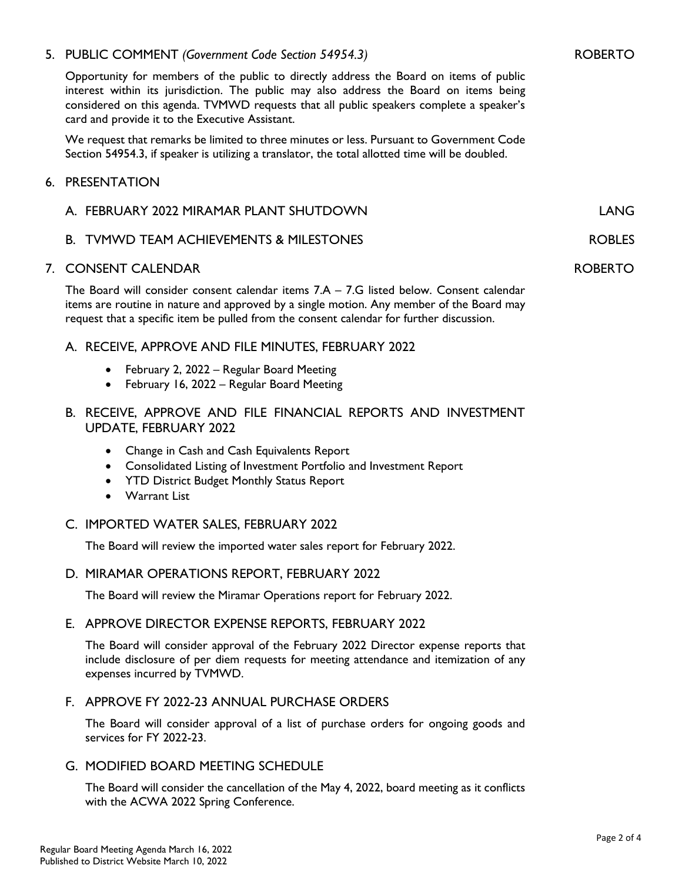### 5. PUBLIC COMMENT *(Government Code Section 54954.3)*

Opportunity for members of the public to directly address the Board on items of public interest within its jurisdiction. The public may also address the Board on items being considered on this agenda. TVMWD requests that all public speakers complete a speaker's card and provide it to the Executive Assistant.

We request that remarks be limited to three minutes or less. Pursuant to Government Code Section 54954.3, if speaker is utilizing a translator, the total allotted time will be doubled.

#### 6. PRESENTATION

| A. FEBRUARY 2022 MIRAMAR PLANT SHUTDOWN | I ANG.         |
|-----------------------------------------|----------------|
| B. TVMWD TEAM ACHIEVEMENTS & MILESTONES | ROBLES         |
| 7. CONSENT CALENDAR                     | <b>ROBERTO</b> |

The Board will consider consent calendar items  $7.A - 7.G$  listed below. Consent calendar items are routine in nature and approved by a single motion. Any member of the Board may request that a specific item be pulled from the consent calendar for further discussion.

#### A. RECEIVE, APPROVE AND FILE MINUTES, FEBRUARY 2022

- February 2, 2022 Regular Board Meeting
- February 16, 2022 Regular Board Meeting
- B. RECEIVE, APPROVE AND FILE FINANCIAL REPORTS AND INVESTMENT UPDATE, FEBRUARY 2022
	- Change in Cash and Cash Equivalents Report
	- Consolidated Listing of Investment Portfolio and Investment Report
	- YTD District Budget Monthly Status Report
	- Warrant List

#### C. IMPORTED WATER SALES, FEBRUARY 2022

The Board will review the imported water sales report for February 2022.

#### D. MIRAMAR OPERATIONS REPORT, FEBRUARY 2022

The Board will review the Miramar Operations report for February 2022.

#### E. APPROVE DIRECTOR EXPENSE REPORTS, FEBRUARY 2022

The Board will consider approval of the February 2022 Director expense reports that include disclosure of per diem requests for meeting attendance and itemization of any expenses incurred by TVMWD.

## F. APPROVE FY 2022-23 ANNUAL PURCHASE ORDERS

The Board will consider approval of a list of purchase orders for ongoing goods and services for FY 2022-23.

### G. MODIFIED BOARD MEETING SCHEDULE

The Board will consider the cancellation of the May 4, 2022, board meeting as it conflicts with the ACWA 2022 Spring Conference.

ROBERTO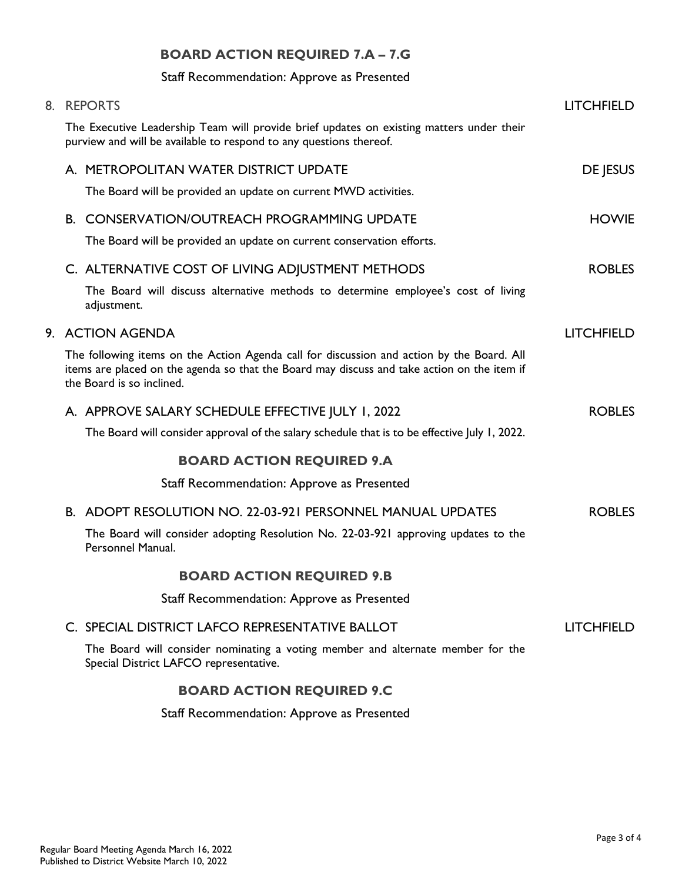## **BOARD ACTION REQUIRED 7.A – 7.G**

## Staff Recommendation: Approve as Presented

| 8. REPORTS                                                                                                                                                                                                            | <b>LITCHFIELD</b> |
|-----------------------------------------------------------------------------------------------------------------------------------------------------------------------------------------------------------------------|-------------------|
| The Executive Leadership Team will provide brief updates on existing matters under their<br>purview and will be available to respond to any questions thereof.                                                        |                   |
| A. METROPOLITAN WATER DISTRICT UPDATE                                                                                                                                                                                 | DE JESUS          |
| The Board will be provided an update on current MWD activities.                                                                                                                                                       |                   |
| <b>B. CONSERVATION/OUTREACH PROGRAMMING UPDATE</b>                                                                                                                                                                    | <b>HOWIE</b>      |
| The Board will be provided an update on current conservation efforts.                                                                                                                                                 |                   |
| C. ALTERNATIVE COST OF LIVING ADJUSTMENT METHODS                                                                                                                                                                      | <b>ROBLES</b>     |
| The Board will discuss alternative methods to determine employee's cost of living<br>adjustment.                                                                                                                      |                   |
| 9. ACTION AGENDA                                                                                                                                                                                                      | <b>LITCHFIELD</b> |
| The following items on the Action Agenda call for discussion and action by the Board. All<br>items are placed on the agenda so that the Board may discuss and take action on the item if<br>the Board is so inclined. |                   |
| A. APPROVE SALARY SCHEDULE EFFECTIVE JULY 1, 2022                                                                                                                                                                     | <b>ROBLES</b>     |
| The Board will consider approval of the salary schedule that is to be effective July 1, 2022.                                                                                                                         |                   |
| <b>BOARD ACTION REQUIRED 9.A</b>                                                                                                                                                                                      |                   |
| Staff Recommendation: Approve as Presented                                                                                                                                                                            |                   |
| <b>B. ADOPT RESOLUTION NO. 22-03-921 PERSONNEL MANUAL UPDATES</b>                                                                                                                                                     | <b>ROBLES</b>     |
| The Board will consider adopting Resolution No. 22-03-921 approving updates to the<br>Personnel Manual.                                                                                                               |                   |
| <b>BOARD ACTION REQUIRED 9.B</b>                                                                                                                                                                                      |                   |
| Staff Recommendation: Approve as Presented                                                                                                                                                                            |                   |
| C. SPECIAL DISTRICT LAFCO REPRESENTATIVE BALLOT                                                                                                                                                                       | <b>LITCHFIELD</b> |
| The Board will consider nominating a voting member and alternate member for the<br>Special District LAFCO representative.                                                                                             |                   |
| <b>BOARD ACTION REQUIRED 9.C</b>                                                                                                                                                                                      |                   |
| Staff Recommendation: Approve as Presented                                                                                                                                                                            |                   |
|                                                                                                                                                                                                                       |                   |